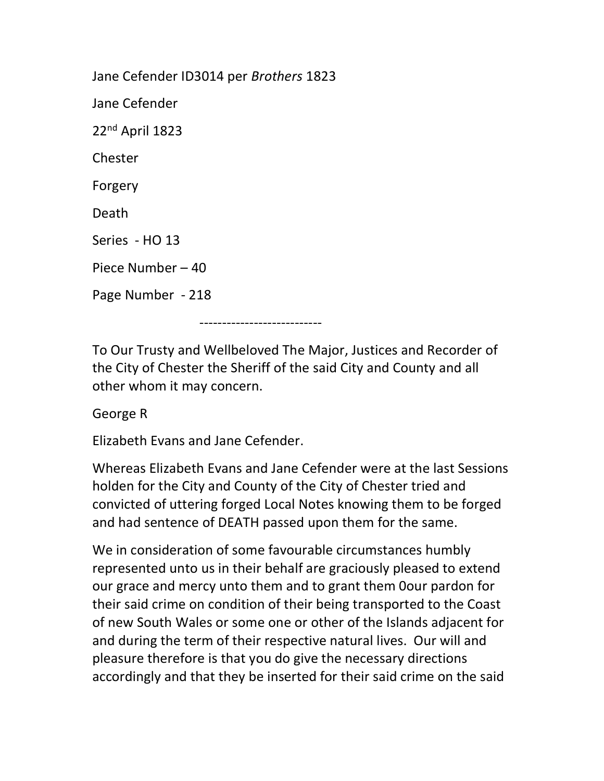Jane Cefender ID3014 per Brothers 1823 Jane Cefender 22nd April 1823 Chester Forgery Death Series - HO 13 Piece Number – 40 Page Number - 218 ---------------------------

To Our Trusty and Wellbeloved The Major, Justices and Recorder of the City of Chester the Sheriff of the said City and County and all other whom it may concern.

George R

Elizabeth Evans and Jane Cefender.

Whereas Elizabeth Evans and Jane Cefender were at the last Sessions holden for the City and County of the City of Chester tried and convicted of uttering forged Local Notes knowing them to be forged and had sentence of DEATH passed upon them for the same.

We in consideration of some favourable circumstances humbly represented unto us in their behalf are graciously pleased to extend our grace and mercy unto them and to grant them 0our pardon for their said crime on condition of their being transported to the Coast of new South Wales or some one or other of the Islands adjacent for and during the term of their respective natural lives. Our will and pleasure therefore is that you do give the necessary directions accordingly and that they be inserted for their said crime on the said